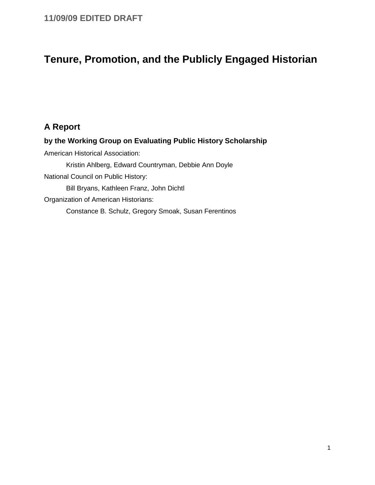# **Tenure, Promotion, and the Publicly Engaged Historian**

# **A Report**

**by the Working Group on Evaluating Public History Scholarship**  American Historical Association: Kristin Ahlberg, Edward Countryman, Debbie Ann Doyle National Council on Public History: Bill Bryans, Kathleen Franz, John Dichtl Organization of American Historians: Constance B. Schulz, Gregory Smoak, Susan Ferentinos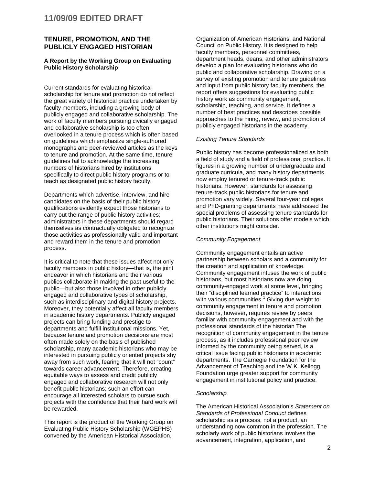#### **TENURE, PROMOTION, AND THE PUBLICLY ENGAGED HISTORIAN**

#### **A Report by the Working Group on Evaluating Public History Scholarship**

Current standards for evaluating historical scholarship for tenure and promotion do not reflect the great variety of historical practice undertaken by faculty members, including a growing body of publicly engaged and collaborative scholarship. The work of faculty members pursuing civically engaged and collaborative scholarship is too often overlooked in a tenure process which is often based on guidelines which emphasize single-authored monographs and peer-reviewed articles as the keys to tenure and promotion. At the same time, tenure guidelines fail to acknowledge the increasing numbers of historians hired by institutions specifically to direct public history programs or to teach as designated public history faculty.

Departments which advertise, interview, and hire candidates on the basis of their public history qualifications evidently expect those historians to carry out the range of public history activities; administrators in these departments should regard themselves as contractually obligated to recognize those activities as professionally valid and important and reward them in the tenure and promotion process.

It is critical to note that these issues affect not only faculty members in public history—that is, the joint endeavor in which historians and their various publics collaborate in making the past useful to the public—but also those involved in other publicly engaged and collaborative types of scholarship, such as interdisciplinary and digital history projects. Moreover, they potentially affect all faculty members in academic history departments. Publicly engaged projects can bring funding and prestige to departments and fulfill institutional missions. Yet, because tenure and promotion decisions are most often made solely on the basis of published scholarship, many academic historians who may be interested in pursuing publicly oriented projects shy away from such work, fearing that it will not "count" towards career advancement. Therefore, creating equitable ways to assess and credit publicly engaged and collaborative research will not only benefit public historians; such an effort can encourage all interested scholars to pursue such projects with the confidence that their hard work will be rewarded.

This report is the product of the Working Group on Evaluating Public History Scholarship (WGEPHS) convened by the American Historical Association,

Organization of American Historians, and National Council on Public History. It is designed to help faculty members, personnel committees, department heads, deans, and other administrators develop a plan for evaluating historians who do public and collaborative scholarship. Drawing on a survey of existing promotion and tenure guidelines and input from public history faculty members, the report offers suggestions for evaluating public history work as community engagement. scholarship, teaching, and service. It defines a number of best practices and describes possible approaches to the hiring, review, and promotion of publicly engaged historians in the academy.

#### *Existing Tenure Standards*

Public history has become professionalized as both a field of study and a field of professional practice. It figures in a growing number of undergraduate and graduate curricula, and many history departments now employ tenured or tenure-track public historians. However, standards for assessing tenure-track public historians for tenure and promotion vary widely. Several four-year colleges and PhD-granting departments have addressed the special problems of assessing tenure standards for public historians. Their solutions offer models which other institutions might consider.

#### *Community Engagement*

Community engagement entails an active partnership between scholars and a community for the creation and application of knowledge. Community engagement infuses the work of public historians, but most historians now are doing community-engaged work at some level, bringing their "disciplined learned practice" to interactions with various communities. $1$  Giving due weight to community engagement in tenure and promotion decisions, however, requires review by peers familiar with community engagement and with the professional standards of the historian The recognition of community engagement in the tenure process, as it includes professional peer review informed by the community being served, is a critical issue facing public historians in academic departments. The Carnegie Foundation for the Advancement of Teaching and the W.K. Kellogg Foundation urge greater support for community engagement in institutional policy and practice.

#### *Scholarship*

The American Historical Association's *Statement on Standards of Professional Conduct* defines scholarship as a process, not a product, an understanding now common in the profession. The scholarly work of public historians involves the advancement, integration, application, and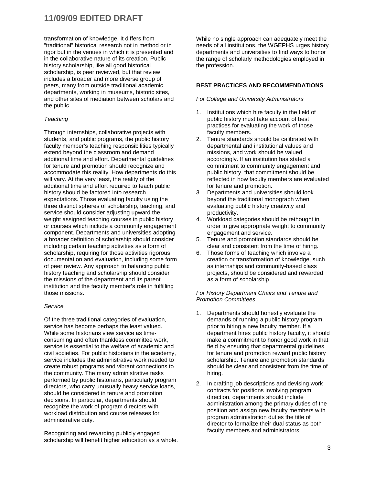transformation of knowledge. It differs from "traditional" historical research not in method or in rigor but in the venues in which it is presented and in the collaborative nature of its creation. Public history scholarship, like all good historical scholarship, is peer reviewed, but that review includes a broader and more diverse group of peers, many from outside traditional academic departments, working in museums, historic sites, and other sites of mediation between scholars and the public.

#### *Teaching*

Through internships, collaborative projects with students, and public programs, the public history faculty member's teaching responsibilities typically extend beyond the classroom and demand additional time and effort. Departmental guidelines for tenure and promotion should recognize and accommodate this reality. How departments do this will vary. At the very least, the reality of the additional time and effort required to teach public history should be factored into research expectations. Those evaluating faculty using the three distinct spheres of scholarship, teaching, and service should consider adjusting upward the weight assigned teaching courses in public history or courses which include a community engagement component. Departments and universities adopting a broader definition of scholarship should consider including certain teaching activities as a form of scholarship, requiring for those activities rigorous documentation and evaluation, including some form of peer review. Any approach to balancing public history teaching and scholarship should consider the missions of the department and its parent institution and the faculty member's role in fulfilling those missions.

#### *Service*

Of the three traditional categories of evaluation, service has become perhaps the least valued. While some historians view service as timeconsuming and often thankless committee work, service is essential to the welfare of academic and civil societies. For public historians in the academy, service includes the administrative work needed to create robust programs and vibrant connections to the community. The many administrative tasks performed by public historians, particularly program directors, who carry unusually heavy service loads, should be considered in tenure and promotion decisions. In particular, departments should recognize the work of program directors with workload distribution and course releases for administrative duty.

Recognizing and rewarding publicly engaged scholarship will benefit higher education as a whole. While no single approach can adequately meet the needs of all institutions, the WGEPHS urges history departments and universities to find ways to honor the range of scholarly methodologies employed in the profession.

#### **BEST PRACTICES AND RECOMMENDATIONS**

#### *For College and University Administrators*

- 1. Institutions which hire faculty in the field of public history must take account of best practices for evaluating the work of those faculty members.
- 2. Tenure standards should be calibrated with departmental and institutional values and missions, and work should be valued accordingly. If an institution has stated a commitment to community engagement and public history, that commitment should be reflected in how faculty members are evaluated for tenure and promotion.
- 3. Departments and universities should look beyond the traditional monograph when evaluating public history creativity and productivity.
- 4. Workload categories should be rethought in order to give appropriate weight to community engagement and service.
- 5. Tenure and promotion standards should be clear and consistent from the time of hiring.
- 6. Those forms of teaching which involve a creation or transformation of knowledge, such as internships and community-based class projects, should be considered and rewarded as a form of scholarship.

#### *For History Department Chairs and Tenure and Promotion Committees*

- 1. Departments should honestly evaluate the demands of running a public history program prior to hiring a new faculty member. If a department hires public history faculty, it should make a commitment to honor good work in that field by ensuring that departmental guidelines for tenure and promotion reward public history scholarship. Tenure and promotion standards should be clear and consistent from the time of hiring.
- 2. In crafting job descriptions and devising work contracts for positions involving program direction, departments should include administration among the primary duties of the position and assign new faculty members with program administration duties the title of director to formalize their dual status as both faculty members and administrators.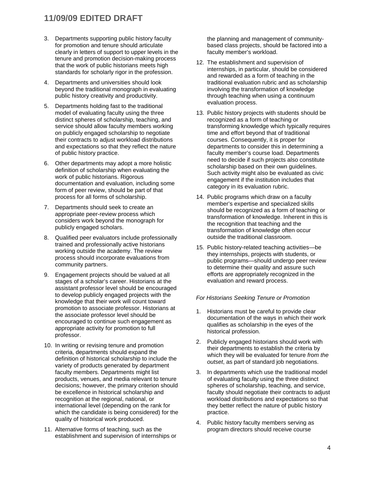- 3. Departments supporting public history faculty for promotion and tenure should articulate clearly in letters of support to upper levels in the tenure and promotion decision-making process that the work of public historians meets high standards for scholarly rigor in the profession.
- 4. Departments and universities should look beyond the traditional monograph in evaluating public history creativity and productivity.
- 5. Departments holding fast to the traditional model of evaluating faculty using the three distinct spheres of scholarship, teaching, and service should allow faculty members working on publicly engaged scholarship to negotiate their contracts to adjust workload distributions and expectations so that they reflect the nature of public history practice.
- 6. Other departments may adopt a more holistic definition of scholarship when evaluating the work of public historians. Rigorous documentation and evaluation, including some form of peer review, should be part of that process for all forms of scholarship.
- 7. Departments should seek to create an appropriate peer-review process which considers work beyond the monograph for publicly engaged scholars.
- 8. Qualified peer evaluators include professionally trained and professionally active historians working outside the academy. The review process should incorporate evaluations from community partners.
- 9. Engagement projects should be valued at all stages of a scholar's career. Historians at the assistant professor level should be encouraged to develop publicly engaged projects with the knowledge that their work will count toward promotion to associate professor. Historians at the associate professor level should be encouraged to continue such engagement as appropriate activity for promotion to full professor.
- 10. In writing or revising tenure and promotion criteria, departments should expand the definition of historical scholarship to include the variety of products generated by department faculty members. Departments might list products, venues, and media relevant to tenure decisions; however, the primary criterion should be excellence in historical scholarship and recognition at the regional, national, or international level (depending on the rank for which the candidate is being considered) for the quality of historical work produced.
- 11. Alternative forms of teaching, such as the establishment and supervision of internships or

the planning and management of communitybased class projects, should be factored into a faculty member's workload.

- 12. The establishment and supervision of internships, in particular, should be considered and rewarded as a form of teaching in the traditional evaluation rubric and as scholarship involving the transformation of knowledge through teaching when using a continuum evaluation process.
- 13. Public history projects with students should be recognized as a form of teaching or transforming knowledge which typically requires time and effort beyond that of traditional courses. Consequently, it is proper for departments to consider this in determining a faculty member's course load. Departments need to decide if such projects also constitute scholarship based on their own guidelines. Such activity might also be evaluated as civic engagement if the institution includes that category in its evaluation rubric.
- 14. Public programs which draw on a faculty member's expertise and specialized skills should be recognized as a form of teaching or transformation of knowledge. Inherent in this is the recognition that teaching and the transformation of knowledge often occur outside the traditional classroom.
- 15. Public history-related teaching activities—be they internships, projects with students, or public programs—should undergo peer review to determine their quality and assure such efforts are appropriately recognized in the evaluation and reward process.

#### *For Historians Seeking Tenure or Promotion*

- 1. Historians must be careful to provide clear documentation of the ways in which their work qualifies as scholarship in the eyes of the historical profession.
- 2. Publicly engaged historians should work with their departments to establish the criteria by which they will be evaluated for tenure *from the outset*, as part of standard job negotiations.
- 3. In departments which use the traditional model of evaluating faculty using the three distinct spheres of scholarship, teaching, and service, faculty should negotiate their contracts to adjust workload distributions and expectations so that they better reflect the nature of public history practice.
- 4. Public history faculty members serving as program directors should receive course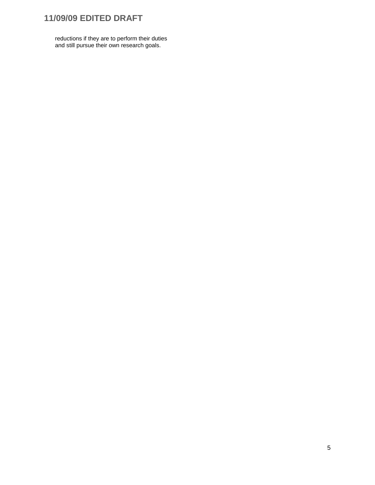reductions if they are to perform their duties and still pursue their own research goals.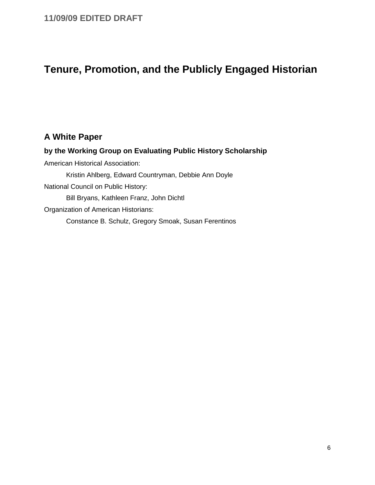# **Tenure, Promotion, and the Publicly Engaged Historian**

### **A White Paper**

**by the Working Group on Evaluating Public History Scholarship**  American Historical Association: Kristin Ahlberg, Edward Countryman, Debbie Ann Doyle National Council on Public History: Bill Bryans, Kathleen Franz, John Dichtl Organization of American Historians: Constance B. Schulz, Gregory Smoak, Susan Ferentinos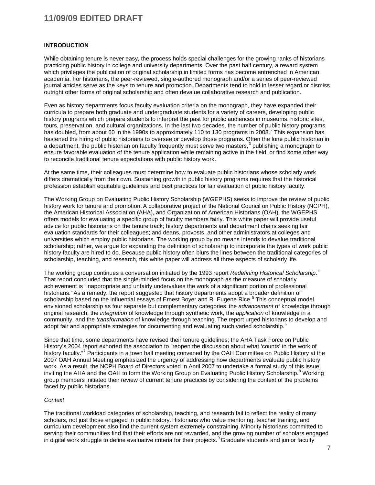#### **INTRODUCTION**

While obtaining tenure is never easy, the process holds special challenges for the growing ranks of historians practicing public history in college and university departments. Over the past half century, a reward system which privileges the publication of original scholarship in limited forms has become entrenched in American academia. For historians, the peer-reviewed, single-authored monograph and/or a series of peer-reviewed journal articles serve as the keys to tenure and promotion. Departments tend to hold in lesser regard or dismiss outright other forms of original scholarship and often devalue collaborative research and publication.

Even as history departments focus faculty evaluation criteria on the monograph, they have expanded their curricula to prepare both graduate and undergraduate students for a variety of careers, developing public history programs which prepare students to interpret the past for public audiences in museums, historic sites, tours, preservation, and cultural organizations. In the last two decades, the number of public history programs has doubled, from about 60 in the 1990s to approximately 110 to 130 programs in [2](#page-27-0)008.<sup>2</sup> This expansion has hastened the hiring of public historians to oversee or develop those programs. Often the lone public historian in a department, the public historian on faculty frequently must serve two masters,<sup>[3](#page-27-1)</sup> publishing a monograph to ensure favorable evaluation of the tenure application while remaining active in the field, or find some other way to reconcile traditional tenure expectations with public history work.

At the same time, their colleagues must determine how to evaluate public historians whose scholarly work differs dramatically from their own. Sustaining growth in public history programs requires that the historical profession establish equitable guidelines and best practices for fair evaluation of public history faculty.

The Working Group on Evaluating Public History Scholarship (WGEPHS) seeks to improve the review of public history work for tenure and promotion. A collaborative project of the National Council on Public History (NCPH), the American Historical Association (AHA), and Organization of American Historians (OAH), the WGEPHS offers models for evaluating a specific group of faculty members fairly. This white paper will provide useful advice for public historians on the tenure track; history departments and department chairs seeking fair evaluation standards for their colleagues; and deans, provosts, and other administrators at colleges and universities which employ public historians. The working group by no means intends to devalue traditional scholarship; rather, we argue for expanding the definition of scholarship to incorporate the types of work public history faculty are hired to do. Because public history often blurs the lines between the traditional categories of scholarship, teaching, and research, this white paper will address all three aspects of scholarly life.

The working group continues a conversation initiated by the 1993 report *Redefining Historical Scholarship*. [4](#page-27-2) That report concluded that the single-minded focus on the monograph as the measure of scholarly achievement is "inappropriate and unfairly undervalues the work of a significant portion of professional historians." As a remedy, the report suggested that history departments adopt a broader definition of scholarship based on the influential essays of Ernest Boyer and R. Eugene Rice.<sup>[5](#page-27-3)</sup> This conceptual model envisioned scholarship as four separate but complementary categories: the *advancement* of knowledge through original research, the *integration* of knowledge through synthetic work, the *application* of knowledge in a community, and the *transformation* of knowledge through teaching. The report urged historians to develop and adopt fair and appropriate strategies for documenting and evaluating such varied scholarship.<sup>[6](#page-27-4)</sup>

Since that time, some departments have revised their tenure guidelines; the AHA Task Force on Public History's 2004 report exhorted the association to "reopen the discussion about what 'counts' in the work of history faculty."<sup>[7](#page-27-5)</sup> Participants in a town hall meeting convened by the OAH Committee on Public History at the 2007 OAH Annual Meeting emphasized the urgency of addressing how departments evaluate public history work. As a result, the NCPH Board of Directors voted in April 2007 to undertake a formal study of this issue, inviting the AHA and the OAH to form the Working Group on Evaluating Public History Scholarship.<sup>[8](#page-27-6)</sup> Working group members initiated their review of current tenure practices by considering the context of the problems faced by public historians.

#### *Context*

The traditional workload categories of scholarship, teaching, and research fail to reflect the reality of many scholars, not just those engaged in public history. Historians who value mentoring, teacher training, and curriculum development also find the current system extremely constraining. Minority historians committed to serving their communities find that their efforts are not rewarded, and the growing number of scholars engaged in digital work struggle to define evaluative criteria for their projects.<sup>[9](#page-27-7)</sup> Graduate students and junior faculty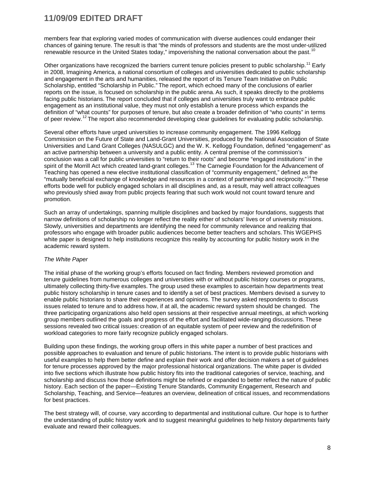members fear that exploring varied modes of communication with diverse audiences could endanger their chances of gaining tenure. The result is that "the minds of professors and students are the most under-utilized renewable resource in the United States today," impoverishing the national conversation about the past.<sup>[10](#page-27-8)</sup>

Other organizations have recognized the barriers current tenure policies present to public scholarship.<sup>[11](#page-27-9)</sup> Early in 2008, Imagining America, a national consortium of colleges and universities dedicated to public scholarship and engagement in the arts and humanities, released the report of its Tenure Team Initiative on Public Scholarship, entitled "Scholarship in Public." The report, which echoed many of the conclusions of earlier reports on the issue, is focused on scholarship in the public arena. As such, it speaks directly to the problems facing public historians. The report concluded that if colleges and universities truly want to embrace public engagement as an institutional value, they must not only establish a tenure process which expands the definition of "what counts" for purposes of tenure, but also create a broader definition of "who counts" in terms of peer review.<sup>[12](#page-27-10)</sup> The report also recommended developing clear guidelines for evaluating public scholarship.

Several other efforts have urged universities to increase community engagement. The 1996 Kellogg Commission on the Future of State and Land-Grant Universities, produced by the National Association of State Universities and Land Grant Colleges (NASULGC) and the W. K. Kellogg Foundation, defined "engagement" as an active partnership between a university and a public entity. A central premise of the commission's conclusion was a call for public universities to "return to their roots" and become "engaged institutions" in the spirit of the Morrill Act which created land-grant colleges.<sup>[13](#page-27-11)</sup> The Carnegie Foundation for the Advancement of Teaching has opened a new elective institutional classification of "community engagement," defined as the "mutually beneficial exchange of knowledge and resources in a context of partnership and reciprocity."[14](#page-27-12) These efforts bode well for publicly engaged scholars in all disciplines and, as a result, may well attract colleagues who previously shied away from public projects fearing that such work would not count toward tenure and promotion.

Such an array of undertakings, spanning multiple disciplines and backed by major foundations, suggests that narrow definitions of scholarship no longer reflect the reality either of scholars' lives or of university missions. Slowly, universities and departments are identifying the need for community relevance and realizing that professors who engage with broader public audiences become better teachers and scholars. This WGEPHS white paper is designed to help institutions recognize this reality by accounting for public history work in the academic reward system.

#### *The White Paper*

The initial phase of the working group's efforts focused on fact finding. Members reviewed promotion and tenure guidelines from numerous colleges and universities with or without public history courses or programs, ultimately collecting thirty-five examples. The group used these examples to ascertain how departments treat public history scholarship in tenure cases and to identify a set of best practices. Members devised a survey to enable public historians to share their experiences and opinions. The survey asked respondents to discuss issues related to tenure and to address how, if at all, the academic reward system should be changed. The three participating organizations also held open sessions at their respective annual meetings, at which working group members outlined the goals and progress of the effort and facilitated wide-ranging discussions. These sessions revealed two critical issues: creation of an equitable system of peer review and the redefinition of workload categories to more fairly recognize publicly engaged scholars.

Building upon these findings, the working group offers in this white paper a number of best practices and possible approaches to evaluation and tenure of public historians. The intent is to provide public historians with useful examples to help them better define and explain their work and offer decision makers a set of guidelines for tenure processes approved by the major professional historical organizations. The white paper is divided into five sections which illustrate how public history fits into the traditional categories of service, teaching, and scholarship and discuss how those definitions might be refined or expanded to better reflect the nature of public history. Each section of the paper—Existing Tenure Standards, Community Engagement, Research and Scholarship, Teaching, and Service—features an overview, delineation of critical issues, and recommendations for best practices.

The best strategy will, of course, vary according to departmental and institutional culture. Our hope is to further the understanding of public history work and to suggest meaningful guidelines to help history departments fairly evaluate and reward their colleagues.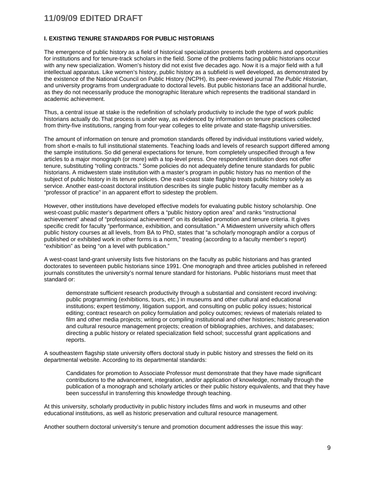#### **I. EXISTING TENURE STANDARDS FOR PUBLIC HISTORIANS**

The emergence of public history as a field of historical specialization presents both problems and opportunities for institutions and for tenure-track scholars in the field. Some of the problems facing public historians occur with any new specialization. Women's history did not exist five decades ago. Now it is a major field with a full intellectual apparatus. Like women's history, public history as a subfield is well developed, as demonstrated by the existence of the National Council on Public History (NCPH), its peer-reviewed journal *The Public Historian*, and university programs from undergraduate to doctoral levels. But public historians face an additional hurdle, as they do not necessarily produce the monographic literature which represents the traditional standard in academic achievement.

Thus, a central issue at stake is the redefinition of scholarly productivity to include the type of work public historians actually do. That process is under way, as evidenced by information on tenure practices collected from thirty-five institutions, ranging from four-year colleges to elite private and state-flagship universities.

The amount of information on tenure and promotion standards offered by individual institutions varied widely, from short e-mails to full institutional statements. Teaching loads and levels of research support differed among the sample institutions. So did general expectations for tenure, from completely unspecified through a few articles to a major monograph (or more) with a top-level press. One respondent institution does not offer tenure, substituting "rolling contracts." Some policies do not adequately define tenure standards for public historians. A midwestern state institution with a master's program in public history has no mention of the subject of public history in its tenure policies. One east-coast state flagship treats public history solely as service. Another east-coast doctoral institution describes its single public history faculty member as a "professor of practice" in an apparent effort to sidestep the problem.

However, other institutions have developed effective models for evaluating public history scholarship. One west-coast public master's department offers a "public history option area" and ranks "instructional achievement" ahead of "professional achievement" on its detailed promotion and tenure criteria. It gives specific credit for faculty "performance, exhibition, and consultation." A Midwestern university which offers public history courses at all levels, from BA to PhD, states that "a scholarly monograph and/or a corpus of published or exhibited work in other forms is a norm," treating (according to a faculty member's report) "exhibition" as being "on a level with publication."

A west-coast land-grant university lists five historians on the faculty as public historians and has granted doctorates to seventeen public historians since 1991. One monograph and three articles published in refereed journals constitutes the university's normal tenure standard for historians. Public historians must meet that standard or:

demonstrate sufficient research productivity through a substantial and consistent record involving: public programming (exhibitions, tours, etc.) in museums and other cultural and educational institutions; expert testimony, litigation support, and consulting on public policy issues; historical editing; contract research on policy formulation and policy outcomes; reviews of materials related to film and other media projects; writing or compiling institutional and other histories; historic preservation and cultural resource management projects; creation of bibliographies, archives, and databases; directing a public history or related specialization field school; successful grant applications and reports.

A southeastern flagship state university offers doctoral study in public history and stresses the field on its departmental website. According to its departmental standards:

Candidates for promotion to Associate Professor must demonstrate that they have made significant contributions to the advancement, integration, and/or application of knowledge, normally through the publication of a monograph and scholarly articles or their public history equivalents, and that they have been successful in transferring this knowledge through teaching.

At this university, scholarly productivity in public history includes films and work in museums and other educational institutions, as well as historic preservation and cultural resource management.

Another southern doctoral university's tenure and promotion document addresses the issue this way: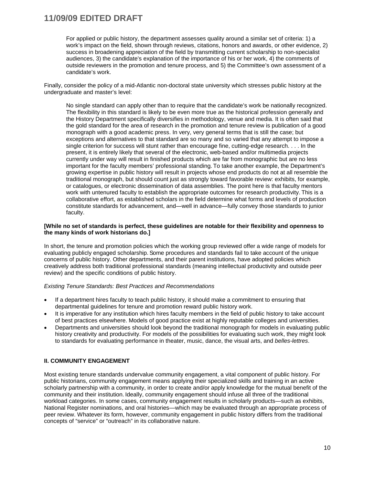For applied or public history, the department assesses quality around a similar set of criteria: 1) a work's impact on the field, shown through reviews, citations, honors and awards, or other evidence, 2) success in broadening appreciation of the field by transmitting current scholarship to non-specialist audiences, 3) the candidate's explanation of the importance of his or her work, 4) the comments of outside reviewers in the promotion and tenure process, and 5) the Committee's own assessment of a candidate's work.

Finally, consider the policy of a mid-Atlantic non-doctoral state university which stresses public history at the undergraduate and master's level:

No single standard can apply other than to require that the candidate's work be nationally recognized. The flexibility in this standard is likely to be even more true as the historical profession generally and the History Department specifically diversifies in methodology, venue and media. It is often said that the gold standard for the area of research in the promotion and tenure review is publication of a good monograph with a good academic press. In very, very general terms that is still the case; but exceptions and alternatives to that standard are so many and so varied that any attempt to impose a single criterion for success will stunt rather than encourage fine, cutting-edge research. . . . In the present, it is entirely likely that several of the electronic, web-based and/or multimedia projects currently under way will result in finished products which are far from monographic but are no less important for the faculty members' professional standing. To take another example, the Department's growing expertise in public history will result in projects whose end products do not at all resemble the traditional monograph, but should count just as strongly toward favorable review: exhibits, for example, or catalogues, or electronic dissemination of data assemblies. The point here is that faculty mentors work with untenured faculty to establish the appropriate outcomes for research productivity. This is a collaborative effort, as established scholars in the field determine what forms and levels of production constitute standards for advancement, and—well in advance—fully convey those standards to junior faculty.

#### **[While no set of standards is perfect, these guidelines are notable for their flexibility and openness to the many kinds of work historians do.]**

In short, the tenure and promotion policies which the working group reviewed offer a wide range of models for evaluating publicly engaged scholarship. Some procedures and standards fail to take account of the unique concerns of public history. Other departments, and their parent institutions, have adopted policies which creatively address both traditional professional standards (meaning intellectual productivity and outside peer review) and the specific conditions of public history.

#### *Existing Tenure Standards: Best Practices and Recommendations*

- If a department hires faculty to teach public history, it should make a commitment to ensuring that departmental guidelines for tenure and promotion reward public history work.
- It is imperative for any institution which hires faculty members in the field of public history to take account of best practices elsewhere. Models of good practice exist at highly reputable colleges and universities.
- Departments and universities should look beyond the traditional monograph for models in evaluating public history creativity and productivity. For models of the possibilities for evaluating such work, they might look to standards for evaluating performance in theater, music, dance, the visual arts, and *belles-lettres*.

#### **II. COMMUNITY ENGAGEMENT**

Most existing tenure standards undervalue community engagement, a vital component of public history. For public historians, community engagement means applying their specialized skills and training in an active scholarly partnership with a community, in order to create and/or apply knowledge for the mutual benefit of the community and their institution. Ideally, community engagement should infuse all three of the traditional workload categories. In some cases, community engagement results in scholarly products—such as exhibits, National Register nominations, and oral histories—which may be evaluated through an appropriate process of peer review. Whatever its form, however, community engagement in public history differs from the traditional concepts of "service" or "outreach" in its collaborative nature.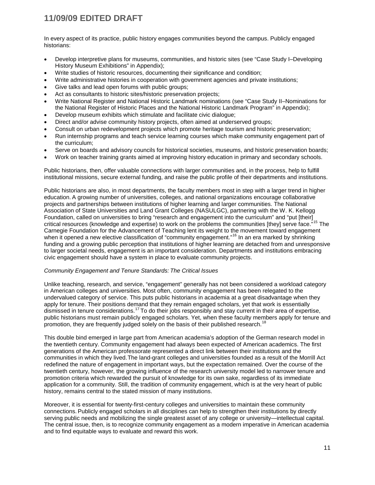In every aspect of its practice, public history engages communities beyond the campus. Publicly engaged historians:

- Develop interpretive plans for museums, communities, and historic sites (see "Case Study I–Developing History Museum Exhibitions" in Appendix);
- Write studies of historic resources, documenting their significance and condition;
- Write administrative histories in cooperation with government agencies and private institutions;
- Give talks and lead open forums with public groups;
- Act as consultants to historic sites/historic preservation projects;
- Write National Register and National Historic Landmark nominations (see "Case Study II–Nominations for the National Register of Historic Places and the National Historic Landmark Program" in Appendix);
- Develop museum exhibits which stimulate and facilitate civic dialogue;
- Direct and/or advise community history projects, often aimed at underserved groups;
- Consult on urban redevelopment projects which promote heritage tourism and historic preservation;
- Run internship programs and teach service learning courses which make community engagement part of the curriculum;
- Serve on boards and advisory councils for historical societies, museums, and historic preservation boards;
- Work on teacher training grants aimed at improving history education in primary and secondary schools.

Public historians, then, offer valuable connections with larger communities and, in the process, help to fulfill institutional missions, secure external funding, and raise the public profile of their departments and institutions.

Public historians are also, in most departments, the faculty members most in step with a larger trend in higher education. A growing number of universities, colleges, and national organizations encourage collaborative projects and partnerships between institutions of higher learning and larger communities. The National Association of State Universities and Land Grant Colleges (NASULGC), partnering with the W. K. Kellogg Foundation, called on universities to bring "research and engagement into the curriculum" and "put [their] critical resources (knowledge and expertise) to work on the problems the communities [they] serve face."[15](#page-27-13) The Carnegie Foundation for the Advancement of Teaching lent its weight to the movement toward engagement when it opened a new elective classification of "community engagement."<sup>[16](#page-27-14)</sup> In an era marked by shrinking funding and a growing public perception that institutions of higher learning are detached from and unresponsive to larger societal needs, engagement is an important consideration. Departments and institutions embracing civic engagement should have a system in place to evaluate community projects.

#### *Community Engagement and Tenure Standards: The Critical Issues*

Unlike teaching, research, and service, "engagement" generally has not been considered a workload category in American colleges and universities. Most often, community engagement has been relegated to the undervalued category of service. This puts public historians in academia at a great disadvantage when they apply for tenure. Their positions demand that they remain engaged scholars, yet that work is essentially dismissed in tenure considerations.<sup>[17](#page-27-15)</sup> To do their jobs responsibly and stay current in their area of expertise, public historians must remain publicly engaged scholars. Yet, when these faculty members apply for tenure and promotion, they are frequently judged solely on the basis of their published research.<sup>[18](#page-27-16)</sup>

This double bind emerged in large part from American academia's adoption of the German research model in the twentieth century. Community engagement had always been expected of American academics. The first generations of the American professorate represented a direct link between their institutions and the communities in which they lived. The land-grant colleges and universities founded as a result of the Morrill Act redefined the nature of engagement in important ways, but the expectation remained. Over the course of the twentieth century, however, the growing influence of the research university model led to narrower tenure and promotion criteria which rewarded the pursuit of knowledge for its own sake, regardless of its immediate application for a community. Still, the tradition of community engagement, which is at the very heart of public history, remains central to the stated mission of many institutions.

Moreover, it is essential for twenty-first-century colleges and universities to maintain these community connections. Publicly engaged scholars in all disciplines can help to strengthen their institutions by directly serving public needs and mobilizing the single greatest asset of any college or university—intellectual capital. The central issue, then, is to recognize community engagement as a modern imperative in American academia and to find equitable ways to evaluate and reward this work.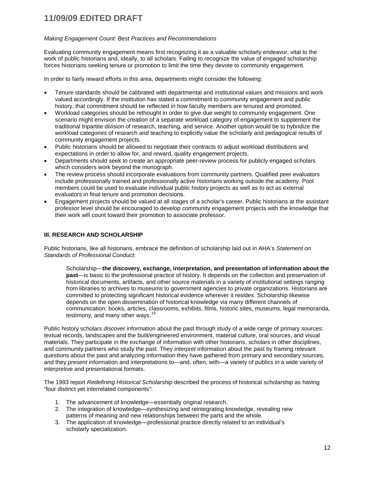#### *Making Engagement Count: Best Practices and Recommendations*

Evaluating community engagement means first recognizing it as a valuable scholarly endeavor, vital to the work of public historians and, ideally, to all scholars. Failing to recognize the value of engaged scholarship forces historians seeking tenure or promotion to limit the time they devote to community engagement.

In order to fairly reward efforts in this area, departments might consider the following:

- Tenure standards should be calibrated with departmental and institutional values and missions and work valued accordingly. If the institution has stated a commitment to community engagement and public history, that commitment should be reflected in how faculty members are tenured and promoted.
- Workload categories should be rethought in order to give due weight to community engagement. One scenario might envision the creation of a separate workload category of engagement to supplement the traditional tripartite division of research, teaching, and service. Another option would be to hybridize the workload categories of research and teaching to explicitly value the scholarly and pedagogical results of community engagement projects.
- Public historians should be allowed to negotiate their contracts to adjust workload distributions and expectations in order to allow for, and reward, quality engagement projects.
- Departments should seek to create an appropriate peer-review process for publicly engaged scholars which considers work beyond the monograph.
- The review process should incorporate evaluations from community partners. Qualified peer evaluators include professionally trained and professionally active historians working outside the academy. Pool members could be used to evaluate individual public history projects as well as to act as external evaluators in final tenure and promotion decisions.
- Engagement projects should be valued at all stages of a scholar's career. Public historians at the assistant professor level should be encouraged to develop community engagement projects with the knowledge that their work will count toward their promotion to associate professor.

#### **III. RESEARCH AND SCHOLARSHIP**

Public historians, like all historians, embrace the definition of scholarship laid out in AHA's *Statement on Standards of Professional Conduct*:

Scholarship—**the discovery, exchange, interpretation, and presentation of information about the past**—is basic to the professional practice of history. It depends on the collection and preservation of historical documents, artifacts, and other source materials in a variety of institutional settings ranging from libraries to archives to museums to government agencies to private organizations. Historians are committed to protecting significant historical evidence wherever it resides. Scholarship likewise depends on the open dissemination of historical knowledge via many different channels of communication: books, articles, classrooms, exhibits, films, historic sites, museums, legal memoranda, testimony, and many other ways.  $19$ 

Public history scholars *discover* information about the past through study of a wide range of primary sources: textual records, landscapes and the built/engineered environment, material culture, oral sources, and visual materials. They participate in the *exchange* of information with other historians, scholars in other disciplines, and community partners who study the past. They *interpret* information about the past by framing relevant questions about the past and analyzing information they have gathered from primary and secondary sources*,* and they *present* information and interpretations to—and, often, with—a variety of publics in a wide variety of interpretive and presentational formats.

The 1993 report *Redefining Historical Scholarship* described the process of historical scholarship as having "four distinct yet interrelated components":

- 1. The advancement of knowledge—essentially original research.
- 2. The integration of knowledge—synthesizing and reintegrating knowledge, revealing new patterns of meaning and new relationships between the parts and the whole.
- 3. The application of knowledge—professional practice directly related to an individual's scholarly specialization.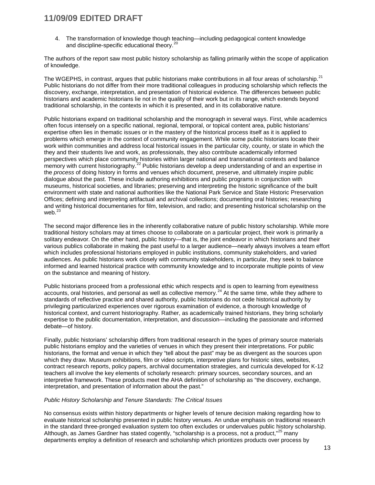4. The transformation of knowledge though teaching—including pedagogical content knowledge and discipline-specific educational theory.<sup>[20](#page-27-18)</sup>

The authors of the report saw most public history scholarship as falling primarily within the scope of application of knowledge.

The WGEPHS, in contrast, argues that public historians make contributions in all four areas of scholarship.<sup>[21](#page-27-19)</sup> Public historians do not differ from their more traditional colleagues in producing scholarship which reflects the discovery, exchange, interpretation, and presentation of historical evidence. The differences between public historians and academic historians lie not in the quality of their work but in its range, which extends beyond traditional scholarship, in the contexts in which it is presented, and in its collaborative nature.

Public historians expand on traditional scholarship and the monograph in several ways. First, while academics often focus intensely on a specific national, regional, temporal, or topical content area, public historians' expertise often lies in thematic issues or in the mastery of the historical process itself as it is applied to problems which emerge in the context of community engagement. While some public historians locate their work within communities and address local historical issues in the particular city, county, or state in which the they and their students live and work, as professionals, they also contribute academically informed perspectives which place community histories within larger national and transnational contexts and balance memory with current historiography.<sup>[22](#page-27-20)</sup> Public historians develop a deep understanding of and an expertise in the *process* of doing history in forms and venues which document, preserve, and ultimately inspire public dialogue about the past. These include authoring exhibitions and public programs in conjunction with museums, historical societies, and libraries; preserving and interpreting the historic significance of the built environment with state and national authorities like the National Park Service and State Historic Preservation Offices; defining and interpreting artifactual and archival collections; documenting oral histories; researching and writing historical documentaries for film, television, and radio; and presenting historical scholarship on the web.<sup>[23](#page-27-21)</sup>

The second major difference lies in the inherently collaborative nature of public history scholarship. While more traditional history scholars may at times choose to collaborate on a particular project, their work is primarily a solitary endeavor. On the other hand, public history—that is, the joint endeavor in which historians and their various publics collaborate in making the past useful to a larger audience—nearly always involves a team effort which includes professional historians employed in public institutions, community stakeholders, and varied audiences. As public historians work closely with community stakeholders, in particular, they seek to balance informed and learned historical practice with community knowledge and to incorporate multiple points of view on the substance and meaning of history.

Public historians proceed from a professional ethic which respects and is open to learning from eyewitness accounts, oral histories, and personal as well as collective memory.<sup>[24](#page-27-22)</sup> At the same time, while they adhere to standards of reflective practice and shared authority, public historians do not cede historical authority by privileging particularized experiences over rigorous examination of evidence, a thorough knowledge of historical context, and current historiography. Rather, as academically trained historians, they bring scholarly expertise to the public documentation, interpretation, and discussion—including the passionate and informed debate—of history.

Finally, public historians' scholarship differs from traditional research in the types of primary source materials public historians employ and the varieties of venues in which they present their interpretations. For public historians, the format and venue in which they "tell about the past" may be as divergent as the sources upon which they draw. Museum exhibitions, film or video scripts, interpretive plans for historic sites, websites, contract research reports, policy papers, archival documentation strategies, and curricula developed for K-12 teachers all involve the key elements of scholarly research: primary sources, secondary sources, and an interpretive framework. These products meet the AHA definition of scholarship as "the discovery, exchange, interpretation, and presentation of information about the past."

#### *Public History Scholarship and Tenure Standards: The Critical Issues*

No consensus exists within history departments or higher levels of tenure decision making regarding how to evaluate historical scholarship presented in public history venues. An undue emphasis on traditional research in the standard three-pronged evaluation system too often excludes or undervalues public history scholarship. Although, as James Gardner has stated cogently, "scholarship is a process, not a product,"<sup>[25](#page-27-23)</sup> many departments employ a definition of research and scholarship which prioritizes products over process by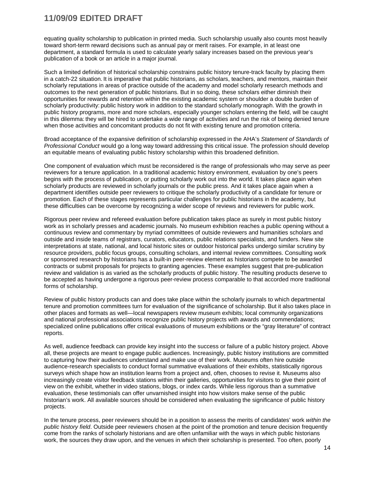equating quality scholarship to publication in printed media. Such scholarship usually also counts most heavily toward short-term reward decisions such as annual pay or merit raises. For example, in at least one department, a standard formula is used to calculate yearly salary increases based on the previous year's publication of a book or an article in a major journal.

Such a limited definition of historical scholarship constrains public history tenure-track faculty by placing them in a catch-22 situation. It is imperative that public historians, as scholars, teachers, and mentors, maintain their scholarly reputations in areas of practice outside of the academy and model scholarly research methods and outcomes to the next generation of public historians. But in so doing, these scholars either diminish their opportunities for rewards and retention within the existing academic system or shoulder a double burden of scholarly productivity: public history work in addition to the standard scholarly monograph. With the growth in public history programs, more and more scholars, especially younger scholars entering the field, will be caught in this dilemma: they will be hired to undertake a wide range of activities and run the risk of being denied tenure when those activities and concomitant products do not fit with existing tenure and promotion criteria.

Broad acceptance of the expansive definition of scholarship expressed in the AHA's *Statement of Standards of Professional Conduct* would go a long way toward addressing this critical issue. The profession should develop an equitable means of evaluating public history scholarship within this broadened definition.

One component of evaluation which must be reconsidered is the range of professionals who may serve as peer reviewers for a tenure application. In a traditional academic history environment, evaluation by one's peers begins with the process of publication, or putting scholarly work out into the world. It takes place again when scholarly products are reviewed in scholarly journals or the public press. And it takes place again when a department identifies outside peer reviewers to critique the scholarly productivity of a candidate for tenure or promotion. Each of these stages represents particular challenges for public historians in the academy, but these difficulties can be overcome by recognizing a wider scope of reviews and reviewers for public work.

Rigorous peer review and refereed evaluation before publication takes place as surely in most public history work as in scholarly presses and academic journals. No museum exhibition reaches a public opening without a continuous review and commentary by myriad committees of outside reviewers and humanities scholars and outside and inside teams of registrars, curators, educators, public relations specialists, and funders. New site interpretations at state, national, and local historic sites or outdoor historical parks undergo similar scrutiny by resource providers, public focus groups, consulting scholars, and internal review committees. Consulting work or sponsored research by historians has a built-in peer-review element as historians compete to be awarded contracts or submit proposals for projects to granting agencies. These examples suggest that pre-publication review and validation is as varied as the scholarly products of public history. The resulting products deserve to be accepted as having undergone a rigorous peer-review process comparable to that accorded more traditional forms of scholarship.

Review of public history products can and does take place within the scholarly journals to which departmental tenure and promotion committees turn for evaluation of the significance of scholarship. But it also takes place in other places and formats as well—local newspapers review museum exhibits; local community organizations and national professional associations recognize public history projects with awards and commendations; specialized online publications offer critical evaluations of museum exhibitions or the "gray literature" of contract reports.

As well, audience feedback can provide key insight into the success or failure of a public history project. Above all, these projects are meant to engage public audiences. Increasingly, public history institutions are committed to capturing how their audiences understand and make use of their work. Museums often hire outside audience-research specialists to conduct formal summative evaluations of their exhibits, statistically rigorous surveys which shape how an institution learns from a project and, often, chooses to revise it. Museums also increasingly create visitor feedback stations within their galleries, opportunities for visitors to give their point of view on the exhibit, whether in video stations, blogs, or index cards. While less rigorous than a summative evaluation, these testimonials can offer unvarnished insight into how visitors make sense of the public historian's work. All available sources should be considered when evaluating the significance of public history projects.

In the tenure process, peer reviewers should be in a position to assess the merits of candidates' work *within the public history field*. Outside peer reviewers chosen at the point of the promotion and tenure decision frequently come from the ranks of scholarly historians and are often unfamiliar with the ways in which public historians work, the sources they draw upon, and the venues in which their scholarship is presented. Too often, poorly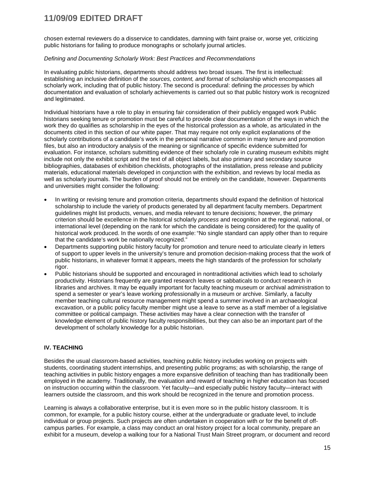chosen external reviewers do a disservice to candidates, damning with faint praise or, worse yet, criticizing public historians for failing to produce monographs or scholarly journal articles.

#### *Defining and Documenting Scholarly Work: Best Practices and Recommendations*

In evaluating public historians, departments should address two broad issues. The first is intellectual: establishing an inclusive definition of the *sources, content, and format* of scholarship which encompasses all scholarly work, including that of public history. The second is procedural: defining the *processes* by which documentation and evaluation of scholarly achievements is carried out so that public history work is recognized and legitimated.

Individual historians have a role to play in ensuring fair consideration of their publicly engaged work Public historians seeking tenure or promotion must be careful to provide clear documentation of the ways in which the work they do qualifies as scholarship in the eyes of the historical profession as a whole, as articulated in the documents cited in this section of our white paper. That may require not only explicit explanations of the scholarly contributions of a candidate's work in the personal narrative common in many tenure and promotion files, but also an introductory analysis of the meaning or significance of specific evidence submitted for evaluation. For instance, scholars submitting evidence of their scholarly role in curating museum exhibits might include not only the exhibit script and the text of all object labels, but also primary and secondary source bibliographies, databases of exhibition checklists, photographs of the installation, press release and publicity materials, educational materials developed in conjunction with the exhibition, and reviews by local media as well as scholarly journals. The burden of proof should not be entirely on the candidate, however. Departments and universities might consider the following:

- In writing or revising tenure and promotion criteria, departments should expand the definition of historical scholarship to include the variety of products generated by all department faculty members. Department guidelines might list products, venues, and media relevant to tenure decisions; however, the primary criterion should be excellence in the historical scholarly *process* and recognition at the regional, national, or international level (depending on the rank for which the candidate is being considered) for the quality of historical work produced. In the words of one example: "No single standard can apply other than to require that the candidate's work be nationally recognized."
- Departments supporting public history faculty for promotion and tenure need to articulate clearly in letters of support to upper levels in the university's tenure and promotion decision-making process that the work of public historians, in whatever format it appears, meets the high standards of the profession for scholarly rigor.
- Public historians should be supported and encouraged in nontraditional activities which lead to scholarly productivity. Historians frequently are granted research leaves or sabbaticals to conduct research in libraries and archives. It may be equally important for faculty teaching museum or archival administration to spend a semester or year's leave working professionally in a museum or archive. Similarly, a faculty member teaching cultural resource management might spend a summer involved in an archaeological excavation, or a public policy faculty member might use a leave to serve as a staff member of a legislative committee or political campaign. These activities may have a clear connection with the transfer of knowledge element of public history faculty responsibilities, but they can also be an important part of the development of scholarly knowledge for a public historian.

#### **IV. TEACHING**

Besides the usual classroom-based activities, teaching public history includes working on projects with students, coordinating student internships, and presenting public programs; as with scholarship, the range of teaching activities in public history engages a more expansive definition of teaching than has traditionally been employed in the academy. Traditionally, the evaluation and reward of teaching in higher education has focused on instruction occurring within the classroom. Yet faculty—and especially public history faculty—interact with learners outside the classroom, and this work should be recognized in the tenure and promotion process.

Learning is always a collaborative enterprise, but it is even more so in the public history classroom. It is common, for example, for a public history course, either at the undergraduate or graduate level, to include individual or group projects. Such projects are often undertaken in cooperation with or for the benefit of offcampus parties. For example, a class may conduct an oral history project for a local community, prepare an exhibit for a museum, develop a walking tour for a National Trust Main Street program, or document and record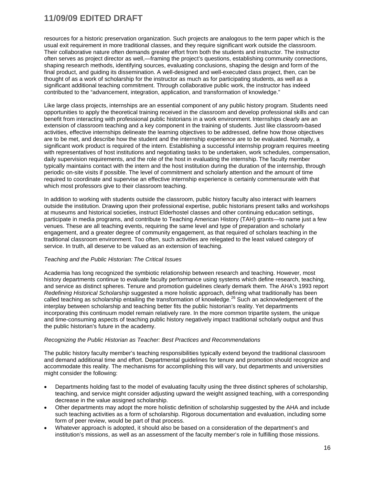resources for a historic preservation organization. Such projects are analogous to the term paper which is the usual exit requirement in more traditional classes, and they require significant work outside the classroom. Their collaborative nature often demands greater effort from both the students and instructor. The instructor often serves as project director as well,—framing the project's questions, establishing community connections, shaping research methods, identifying sources, evaluating conclusions, shaping the design and form of the final product, and guiding its dissemination. A well-designed and well-executed class project, then, can be thought of as a work of scholarship for the instructor as much as for participating students, as well as a significant additional teaching commitment. Through collaborative public work, the instructor has indeed contributed to the "advancement, integration, application, and transformation of knowledge."

Like large class projects, internships are an essential component of any public history program. Students need opportunities to apply the theoretical training received in the classroom and develop professional skills and can benefit from interacting with professional public historians in a work environment. Internships clearly are an extension of classroom teaching and a key component in the training of students. Just like classroom-based activities, effective internships delineate the learning objectives to be addressed, define how those objectives are to be met, and describe how the student and the internship experience are to be evaluated. Normally, a significant work product is required of the intern. Establishing a successful internship program requires meeting with representatives of host institutions and negotiating tasks to be undertaken, work schedules, compensation, daily supervision requirements, and the role of the host in evaluating the internship. The faculty member typically maintains contact with the intern and the host institution during the duration of the internship, through periodic on-site visits if possible. The level of commitment and scholarly attention and the amount of time required to coordinate and supervise an effective internship experience is certainly commensurate with that which most professors give to their classroom teaching.

In addition to working with students outside the classroom, public history faculty also interact with learners outside the institution. Drawing upon their professional expertise, public historians present talks and workshops at museums and historical societies, instruct Elderhostel classes and other continuing education settings, participate in media programs, and contribute to Teaching American History (TAH) grants—to name just a few venues. These are all teaching events, requiring the same level and type of preparation and scholarly engagement, and a greater degree of community engagement, as that required of scholars teaching in the traditional classroom environment. Too often, such activities are relegated to the least valued category of service. In truth, all deserve to be valued as an extension of teaching.

#### *Teaching and the Public Historian: The Critical Issues*

Academia has long recognized the symbiotic relationship between research and teaching. However, most history departments continue to evaluate faculty performance using systems which define research, teaching, and service as distinct spheres. Tenure and promotion guidelines clearly demark them. The AHA's 1993 report *Redefining Historical Scholarship* suggested a more holistic approach, defining what traditionally has been called teaching as scholarship entailing the transformation of knowledge.<sup>[26](#page-27-24)</sup> Such an acknowledgement of the interplay between scholarship and teaching better fits the public historian's reality. Yet departments incorporating this continuum model remain relatively rare. In the more common tripartite system, the unique and time-consuming aspects of teaching public history negatively impact traditional scholarly output and thus the public historian's future in the academy.

#### *Recognizing the Public Historian as Teacher: Best Practices and Recommendations*

The public history faculty member's teaching responsibilities typically extend beyond the traditional classroom and demand additional time and effort. Departmental guidelines for tenure and promotion should recognize and accommodate this reality. The mechanisms for accomplishing this will vary, but departments and universities might consider the following:

- Departments holding fast to the model of evaluating faculty using the three distinct spheres of scholarship, teaching, and service might consider adjusting upward the weight assigned teaching, with a corresponding decrease in the value assigned scholarship.
- Other departments may adopt the more holistic definition of scholarship suggested by the AHA and include such teaching activities as a form of scholarship. Rigorous documentation and evaluation, including some form of peer review, would be part of that process.
- Whatever approach is adopted, it should also be based on a consideration of the department's and institution's missions, as well as an assessment of the faculty member's role in fulfilling those missions.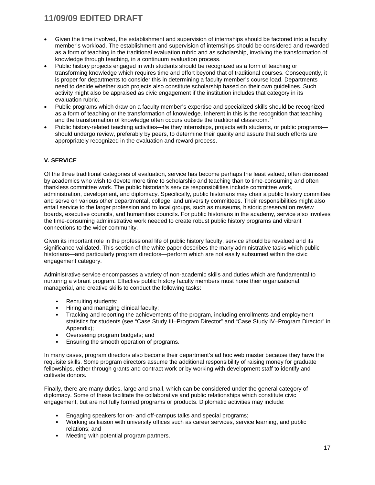- Given the time involved, the establishment and supervision of internships should be factored into a faculty member's workload. The establishment and supervision of internships should be considered and rewarded as a form of teaching in the traditional evaluation rubric and as scholarship, involving the transformation of knowledge through teaching, in a continuum evaluation process.
- Public history projects engaged in with students should be recognized as a form of teaching or transforming knowledge which requires time and effort beyond that of traditional courses. Consequently, it is proper for departments to consider this in determining a faculty member's course load. Departments need to decide whether such projects also constitute scholarship based on their own guidelines. Such activity might also be appraised as civic engagement if the institution includes that category in its evaluation rubric.
- Public programs which draw on a faculty member's expertise and specialized skills should be recognized as a form of teaching or the transformation of knowledge. Inherent in this is the recognition that teaching and the transformation of knowledge often occurs outside the traditional classroom.<sup>2</sup>
- Public history-related teaching activities—be they internships, projects with students, or public programs should undergo review, preferably by peers, to determine their quality and assure that such efforts are appropriately recognized in the evaluation and reward process.

#### **V. SERVICE**

Of the three traditional categories of evaluation, service has become perhaps the least valued, often dismissed by academics who wish to devote more time to scholarship and teaching than to time-consuming and often thankless committee work. The public historian's service responsibilities include committee work, administration, development, and diplomacy. Specifically, public historians may chair a public history committee and serve on various other departmental, college, and university committees. Their responsibilities might also entail service to the larger profession and to local groups, such as museums, historic preservation review boards, executive councils, and humanities councils. For public historians in the academy, service also involves the time-consuming administrative work needed to create robust public history programs and vibrant connections to the wider community.

Given its important role in the professional life of public history faculty, service should be revalued and its significance validated. This section of the white paper describes the many administrative tasks which public historians—and particularly program directors—perform which are not easily subsumed within the civic engagement category.

Administrative service encompasses a variety of non-academic skills and duties which are fundamental to nurturing a vibrant program. Effective public history faculty members must hone their organizational, managerial, and creative skills to conduct the following tasks:

- Recruiting students;
- Hiring and managing clinical faculty;
- Tracking and reporting the achievements of the program, including enrollments and employment statistics for students (see "Case Study III–Program Director" and "Case Study IV–Program Director" in Appendix);
- Overseeing program budgets; and
- Ensuring the smooth operation of programs.

In many cases, program directors also become their department's ad hoc web master because they have the requisite skills. Some program directors assume the additional responsibility of raising money for graduate fellowships, either through grants and contract work or by working with development staff to identify and cultivate donors.

Finally, there are many duties, large and small, which can be considered under the general category of diplomacy. Some of these facilitate the collaborative and public relationships which constitute civic engagement, but are not fully formed programs or products. Diplomatic activities may include:

- Engaging speakers for on- and off-campus talks and special programs;
- Working as liaison with university offices such as career services, service learning, and public relations; and
- Meeting with potential program partners.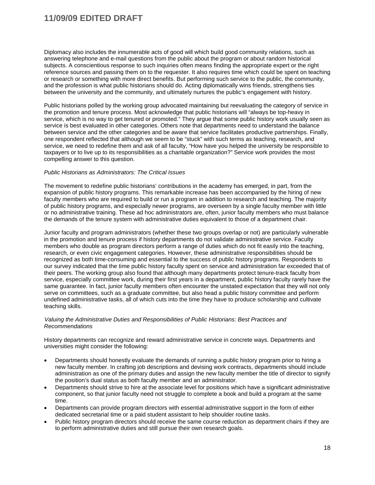Diplomacy also includes the innumerable acts of good will which build good community relations, such as answering telephone and e-mail questions from the public about the program or about random historical subjects. A conscientious response to such inquiries often means finding the appropriate expert or the right reference sources and passing them on to the requester. It also requires time which could be spent on teaching or research or something with more direct benefits. But performing such service to the public, the community, and the profession is what public historians should do. Acting diplomatically wins friends, strengthens ties between the university and the community, and ultimately nurtures the public's engagement with history.

Public historians polled by the working group advocated maintaining but reevaluating the category of service in the promotion and tenure process. Most acknowledge that public historians will "always be top-heavy in service, which is no way to get tenured or promoted." They argue that some public history work usually seen as service is best evaluated in other categories. Others note that departments need to understand the balance between service and the other categories and be aware that service facilitates productive partnerships. Finally, one respondent reflected that although we seem to be "stuck" with such terms as teaching, research, and service, we need to redefine them and ask of all faculty, "How have you helped the university be responsible to taxpayers or to live up to its responsibilities as a charitable organization?" Service work provides the most compelling answer to this question.

#### *Public Historians as Administrators: The Critical Issues*

The movement to redefine public historians' contributions in the academy has emerged, in part, from the expansion of public history programs. This remarkable increase has been accompanied by the hiring of new faculty members who are required to build or run a program in addition to research and teaching. The majority of public history programs, and especially newer programs, are overseen by a single faculty member with little or no administrative training. These ad hoc administrators are, often, junior faculty members who must balance the demands of the tenure system with administrative duties equivalent to those of a department chair.

Junior faculty and program administrators (whether these two groups overlap or not) are particularly vulnerable in the promotion and tenure process if history departments do not validate administrative service. Faculty members who double as program directors perform a range of duties which do not fit easily into the teaching, research, or even civic engagement categories. However, these administrative responsibilities should be recognized as both time-consuming and essential to the success of public history programs. Respondents to our survey indicated that the time public history faculty spent on service and administration far exceeded that of their peers. The working group also found that although many departments protect tenure-track faculty from service, especially committee work, during their first years in a department, public history faculty rarely have the same guarantee. In fact, junior faculty members often encounter the unstated expectation that they will not only serve on committees, such as a graduate committee, but also head a public history committee and perform undefined administrative tasks, all of which cuts into the time they have to produce scholarship and cultivate teaching skills.

#### *Valuing the Administrative Duties and Responsibilities of Public Historians: Best Practices and Recommendations*

History departments can recognize and reward administrative service in concrete ways. Departments and universities might consider the following:

- Departments should honestly evaluate the demands of running a public history program prior to hiring a new faculty member. In crafting job descriptions and devising work contracts, departments should include administration as one of the primary duties and assign the new faculty member the title of director to signify the position's dual status as both faculty member and an administrator.
- Departments should strive to hire at the associate level for positions which have a significant administrative component, so that junior faculty need not struggle to complete a book and build a program at the same time.
- Departments can provide program directors with essential administrative support in the form of either dedicated secretarial time or a paid student assistant to help shoulder routine tasks.
- Public history program directors should receive the same course reduction as department chairs if they are to perform administrative duties and still pursue their own research goals.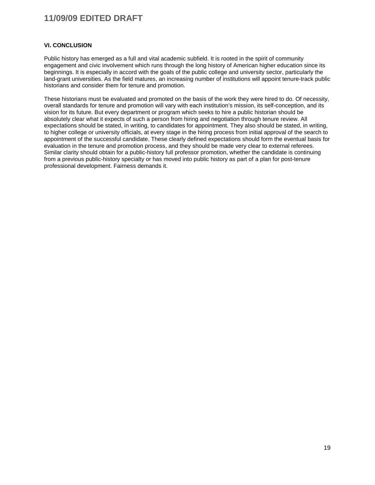#### **VI. CONCLUSION**

Public history has emerged as a full and vital academic subfield. It is rooted in the spirit of community engagement and civic involvement which runs through the long history of American higher education since its beginnings. It is especially in accord with the goals of the public college and university sector, particularly the land-grant universities. As the field matures, an increasing number of institutions will appoint tenure-track public historians and consider them for tenure and promotion.

These historians must be evaluated and promoted on the basis of the work they were hired to do. Of necessity, overall standards for tenure and promotion will vary with each institution's mission, its self-conception, and its vision for its future. But every department or program which seeks to hire a public historian should be absolutely clear what it expects of such a person from hiring and negotiation through tenure review. All expectations should be stated, in writing, to candidates for appointment. They also should be stated, in writing, to higher college or university officials, at every stage in the hiring process from initial approval of the search to appointment of the successful candidate. These clearly defined expectations should form the eventual basis for evaluation in the tenure and promotion process, and they should be made very clear to external referees. Similar clarity should obtain for a public-history full professor promotion, whether the candidate is continuing from a previous public-history specialty or has moved into public history as part of a plan for post-tenure professional development. Fairness demands it.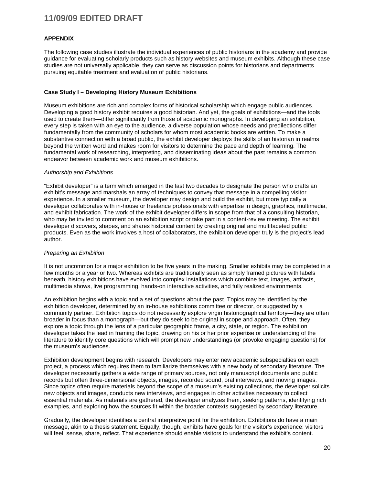#### **APPENDIX**

The following case studies illustrate the individual experiences of public historians in the academy and provide guidance for evaluating scholarly products such as history websites and museum exhibits. Although these case studies are not universally applicable, they can serve as discussion points for historians and departments pursuing equitable treatment and evaluation of public historians.

#### **Case Study I – Developing History Museum Exhibitions**

Museum exhibitions are rich and complex forms of historical scholarship which engage public audiences. Developing a good history exhibit requires a good historian. And yet, the goals of exhibitions—and the tools used to create them—differ significantly from those of academic monographs. In developing an exhibition, every step is taken with an eye to the audience, a diverse population whose needs and predilections differ fundamentally from the community of scholars for whom most academic books are written. To make a substantive connection with a broad public, the exhibit developer deploys the skills of an historian in realms beyond the written word and makes room for visitors to determine the pace and depth of learning. The fundamental work of researching, interpreting, and disseminating ideas about the past remains a common endeavor between academic work and museum exhibitions.

#### *Authorship and Exhibitions*

"Exhibit developer" is a term which emerged in the last two decades to designate the person who crafts an exhibit's message and marshals an array of techniques to convey that message in a compelling visitor experience. In a smaller museum, the developer may design and build the exhibit, but more typically a developer collaborates with in-house or freelance professionals with expertise in design, graphics, multimedia, and exhibit fabrication. The work of the exhibit developer differs in scope from that of a consulting historian, who may be invited to comment on an exhibition script or take part in a content-review meeting. The exhibit developer discovers, shapes, and shares historical content by creating original and multifaceted public products. Even as the work involves a host of collaborators, the exhibition developer truly is the project's lead author.

#### *Preparing an Exhibition*

It is not uncommon for a major exhibition to be five years in the making. Smaller exhibits may be completed in a few months or a year or two. Whereas exhibits are traditionally seen as simply framed pictures with labels beneath, history exhibitions have evolved into complex installations which combine text, images, artifacts, multimedia shows, live programming, hands-on interactive activities, and fully realized environments.

An exhibition begins with a topic and a set of questions about the past. Topics may be identified by the exhibition developer, determined by an in-house exhibitions committee or director, or suggested by a community partner. Exhibition topics do not necessarily explore virgin historiographical territory—they are often broader in focus than a monograph—but they do seek to be original in scope and approach. Often, they explore a topic through the lens of a particular geographic frame, a city, state, or region. The exhibition developer takes the lead in framing the topic, drawing on his or her prior expertise or understanding of the literature to identify core questions which will prompt new understandings (or provoke engaging questions) for the museum's audiences.

Exhibition development begins with research. Developers may enter new academic subspecialties on each project, a process which requires them to familiarize themselves with a new body of secondary literature. The developer necessarily gathers a wide range of primary sources, not only manuscript documents and public records but often three-dimensional objects, images, recorded sound, oral interviews, and moving images. Since topics often require materials beyond the scope of a museum's existing collections, the developer solicits new objects and images, conducts new interviews, and engages in other activities necessary to collect essential materials. As materials are gathered, the developer analyzes them, seeking patterns, identifying rich examples, and exploring how the sources fit within the broader contexts suggested by secondary literature.

Gradually, the developer identifies a central interpretive point for the exhibition. Exhibitions do have a main message, akin to a thesis statement. Equally, though, exhibits have goals for the visitor's experience: visitors will feel, sense, share, reflect. That experience should enable visitors to understand the exhibit's content.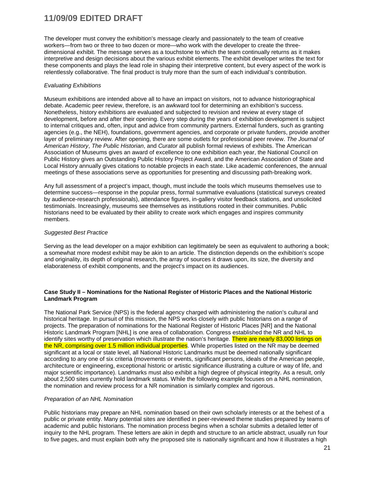The developer must convey the exhibition's message clearly and passionately to the team of creative workers—from two or three to two dozen or more—who work with the developer to create the threedimensional exhibit. The message serves as a touchstone to which the team continually returns as it makes interpretive and design decisions about the various exhibit elements. The exhibit developer writes the text for these components and plays the lead role in shaping their interpretive content, but every aspect of the work is relentlessly collaborative. The final product is truly more than the sum of each individual's contribution.

#### *Evaluating Exhibitions*

Museum exhibitions are intended above all to have an impact on visitors, not to advance historiographical debate. Academic peer review, therefore, is an awkward tool for determining an exhibition's success. Nonetheless, history exhibitions are evaluated and subjected to revision and review at every stage of development, before and after their opening. Every step during the years of exhibition development is subject to internal critiques and, often, input and advice from community partners. External funders, such as granting agencies (e.g., the NEH), foundations, government agencies, and corporate or private funders, provide another layer of preliminary review. After opening, there are some outlets for professional peer review. *The Journal of American History*, *The Public Historian*, and *Curator* all publish formal reviews of exhibits. The American Association of Museums gives an award of excellence to one exhibition each year, the National Council on Public History gives an Outstanding Public History Project Award, and the American Association of State and Local History annually gives citations to notable projects in each state. Like academic conferences, the annual meetings of these associations serve as opportunities for presenting and discussing path-breaking work.

Any full assessment of a project's impact, though, must include the tools which museums themselves use to determine success—response in the popular press, formal summative evaluations (statistical surveys created by audience-research professionals), attendance figures, in-gallery visitor feedback stations, and unsolicited testimonials. Increasingly, museums see themselves as institutions rooted in their communities. Public historians need to be evaluated by their ability to create work which engages and inspires community members.

#### *Suggested Best Practice*

Serving as the lead developer on a major exhibition can legitimately be seen as equivalent to authoring a book; a somewhat more modest exhibit may be akin to an article. The distinction depends on the exhibition's scope and originality, its depth of original research, the array of sources it draws upon, its size, the diversity and elaborateness of exhibit components, and the project's impact on its audiences.

#### **Case Study II – Nominations for the National Register of Historic Places and the National Historic Landmark Program**

The National Park Service (NPS) is the federal agency charged with administering the nation's cultural and historical heritage. In pursuit of this mission, the NPS works closely with public historians on a range of projects. The preparation of nominations for the National Register of Historic Places [NR] and the National Historic Landmark Program [NHL] is one area of collaboration. Congress established the NR and NHL to identify sites worthy of preservation which illustrate the nation's heritage. There are nearly 83,000 listings on the NR, comprising over 1.5 million individual properties. While properties listed on the NR may be deemed significant at a local or state level, all National Historic Landmarks must be deemed nationally significant according to any one of six criteria (movements or events, significant persons, ideals of the American people, architecture or engineering, exceptional historic or artistic significance illustrating a culture or way of life, and major scientific importance). Landmarks must also exhibit a high degree of physical integrity. As a result, only about 2,500 sites currently hold landmark status. While the following example focuses on a NHL nomination, the nomination and review process for a NR nomination is similarly complex and rigorous.

#### *Preparation of an NHL Nomination*

Public historians may prepare an NHL nomination based on their own scholarly interests or at the behest of a public or private entity. Many potential sites are identified in peer-reviewed theme studies prepared by teams of academic and public historians. The nomination process begins when a scholar submits a detailed letter of inquiry to the NHL program. These letters are akin in depth and structure to an article abstract, usually run four to five pages, and must explain both why the proposed site is nationally significant and how it illustrates a high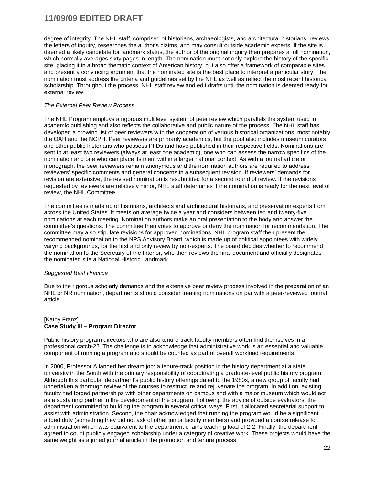degree of integrity. The NHL staff, comprised of historians, archaeologists, and architectural historians, reviews the letters of inquiry, researches the author's claims, and may consult outside academic experts. If the site is deemed a likely candidate for landmark status, the author of the original inquiry then prepares a full nomination, which normally averages sixty pages in length. The nomination must not only explore the history of the specific site, placing it in a broad thematic context of American history, but also offer a framework of comparable sites and present a convincing argument that the nominated site is the best place to interpret a particular story. The nomination must address the criteria and guidelines set by the NHL as well as reflect the most recent historical scholarship. Throughout the process, NHL staff review and edit drafts until the nomination is deemed ready for external review.

#### *The External Peer Review Process*

The NHL Program employs a rigorous multilevel system of peer review which parallels the system used in academic publishing and also reflects the collaborative and public nature of the process. The NHL staff has developed a growing list of peer reviewers with the cooperation of various historical organizations, most notably the OAH and the NCPH. Peer reviewers are primarily academics, but the pool also includes museum curators and other public historians who possess PhDs and have published in their respective fields. Nominations are sent to at least two reviewers (always at least one academic), one who can assess the narrow specifics of the nomination and one who can place its merit within a larger national context. As with a journal article or monograph, the peer reviewers remain anonymous and the nomination authors are required to address reviewers' specific comments and general concerns in a subsequent revision. If reviewers' demands for revision are extensive, the revised nomination is resubmitted for a second round of review. If the revisions requested by reviewers are relatively minor, NHL staff determines if the nomination is ready for the next level of review, the NHL Committee.

The committee is made up of historians, architects and architectural historians, and preservation experts from across the United States. It meets on average twice a year and considers between ten and twenty-five nominations at each meeting. Nomination authors make an oral presentation to the body and answer the committee's questions. The committee then votes to approve or deny the nomination for recommendation. The committee may also stipulate revisions for approved nominations. NHL program staff then present the recommended nomination to the NPS Advisory Board, which is made up of political appointees with widely varying backgrounds, for the first and only review by non-experts. The board decides whether to recommend the nomination to the Secretary of the Interior, who then reviews the final document and officially designates the nominated site a National Historic Landmark.

#### *Suggested Best Practice*

Due to the rigorous scholarly demands and the extensive peer review process involved in the preparation of an NHL or NR nomination, departments should consider treating nominations on par with a peer-reviewed journal article.

#### [Kathy Franz] **Case Study III – Program Director**

Public history program directors who are also tenure-track faculty members often find themselves in a professional catch-22. The challenge is to acknowledge that administrative work is an essential and valuable component of running a program and should be counted as part of overall workload requirements.

In 2000, Professor A landed her dream job: a tenure-track position in the history department at a state university in the South with the primary responsibility of coordinating a graduate-level public history program. Although this particular department's public history offerings dated to the 1980s, a new group of faculty had undertaken a thorough review of the courses to restructure and rejuvenate the program. In addition, existing faculty had forged partnerships with other departments on campus and with a major museum which would act as a sustaining partner in the development of the program. Following the advice of outside evaluators, the department committed to building the program in several critical ways. First, it allocated secretarial support to assist with administration. Second, the chair acknowledged that running the program would be a significant added duty (something they did not ask of other junior faculty members) and provided a course release for administration which was equivalent to the department chair's teaching load of 2-2. Finally, the department agreed to count publicly engaged scholarship under a category of creative work. These projects would have the same weight as a juried journal article in the promotion and tenure process.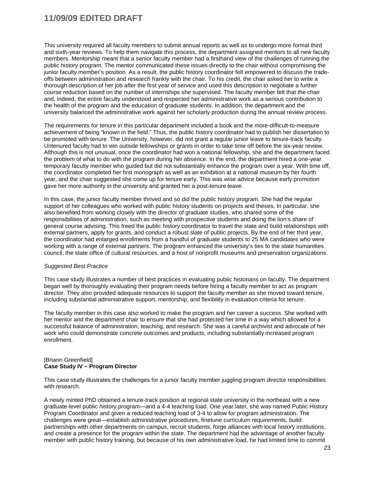This university required all faculty members to submit annual reports as well as to undergo more formal third and sixth-year reviews. To help them navigate this process, the department assigned mentors to all new faculty members. Mentorship meant that a senior faculty member had a firsthand view of the challenges of running the public history program. The mentor communicated these issues directly to the chair without compromising the junior faculty member's position. As a result, the public history coordinator felt empowered to discuss the tradeoffs between administration and research frankly with the chair. To his credit, the chair asked her to write a thorough description of her job after the first year of service and used this description to negotiate a further course reduction based on the number of internships she supervised. The faculty member felt that the chair and, indeed, the entire faculty understood and respected her administrative work as a serious contribution to the health of the program and the education of graduate students. In addition, the department and the university balanced the administrative work against her scholarly production during the annual review process.

The requirements for tenure in this particular department included a book and the more-difficult-to-measure achievement of being "known in the field." Thus, the public history coordinator had to publish her dissertation to be promoted with tenure. The University, however, did not grant a regular junior leave to tenure-track faculty. Untenured faculty had to win outside fellowships or grants in order to take time off before the six-year review. Although this is not unusual, once the coordinator had won a national fellowship, she and the department faced the problem of what to do with the program during her absence. In the end, the department hired a one-year temporary faculty member who guided but did not substantially enhance the program over a year. With time off, the coordinator completed her first monograph as well as an exhibition at a national museum by her fourth year, and the chair suggested she come up for tenure early. This was wise advice because early promotion gave her more authority in the university and granted her a post-tenure leave.

In this case, the junior faculty member thrived and so did the public history program. She had the regular support of her colleagues who worked with public history students on projects and theses. In particular, she also benefited from working closely with the director of graduate studies, who shared some of the responsibilities of administration, such as meeting with prospective students and doing the lion's share of general course advising. This freed the public history coordinator to travel the state and build relationships with external partners, apply for grants, and conduct a robust slate of public projects. By the end of her third year, the coordinator had enlarged enrollments from a handful of graduate students to 25 MA candidates who were working with a range of external partners. The program enhanced the university's ties to the state humanities council, the state office of cultural resources, and a host of nonprofit museums and preservation organizations.

#### *Suggested Best Practice*

This case study illustrates a number of best practices in evaluating public historians on faculty. The department began well by thoroughly evaluating their program needs before hiring a faculty member to act as program director. They also provided adequate resources to support the faculty member as she moved toward tenure, including substantial administrative support, mentorship, and flexibility in evaluation criteria for tenure.

The faculty member in this case also worked to make the program and her career a success. She worked with her mentor and the department chair to ensure that she had protected her time in a way which allowed for a successful balance of administration, teaching, and research. She was a careful archivist and advocate of her work who could demonstrate concrete outcomes and products, including substantially increased program enrollment.

#### [Briann Greenfield] **Case Study IV – Program Director**

This case study illustrates the challenges for a junior faculty member juggling program director responsibilities with research.

A newly minted PhD obtained a tenure-track position at regional state university in the northeast with a new graduate-level public history program—and a 4-4 teaching load. One year later, she was named Public History Program Coordinator and given a reduced teaching load of 3-4 to allow for program administration. The challenges were great—establish administrative procedures, finetune curriculum requirements, build partnerships with other departments on campus, recruit students, forge alliances with local history institutions, and create a presence for the program within the state. The department had the advantage of another faculty member with public history training, but because of his own administrative load, he had limited time to commit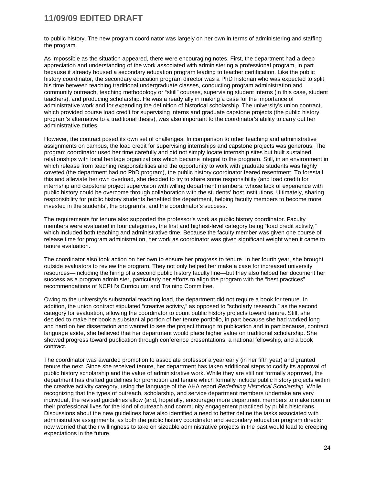to public history. The new program coordinator was largely on her own in terms of administering and staffing the program.

As impossible as the situation appeared, there were encouraging notes. First, the department had a deep appreciation and understanding of the work associated with administering a professional program, in part because it already housed a secondary education program leading to teacher certification. Like the public history coordinator, the secondary education program director was a PhD historian who was expected to split his time between teaching traditional undergraduate classes, conducting program administration and community outreach, teaching methodology or "skill" courses, supervising student interns (in this case, student teachers), and producing scholarship. He was a ready ally in making a case for the importance of administrative work and for expanding the definition of historical scholarship. The university's union contract, which provided course load credit for supervising interns and graduate capstone projects (the public history program's alternative to a traditional thesis), was also important to the coordinator's ability to carry out her administrative duties.

However, the contract posed its own set of challenges. In comparison to other teaching and administrative assignments on campus, the load credit for supervising internships and capstone projects was generous. The program coordinator used her time carefully and did not simply locate internship sites but built sustained relationships with local heritage organizations which became integral to the program. Still, in an environment in which release from teaching responsibilities and the opportunity to work with graduate students was highly coveted (the department had no PhD program), the public history coordinator feared resentment. To forestall this and alleviate her own overload, she decided to try to share some responsibility (and load credit) for internship and capstone project supervision with willing department members, whose lack of experience with public history could be overcome through collaboration with the students' host institutions. Ultimately, sharing responsibility for public history students benefited the department, helping faculty members to become more invested in the students', the program's, and the coordinator's success.

The requirements for tenure also supported the professor's work as public history coordinator. Faculty members were evaluated in four categories, the first and highest-level category being "load credit activity," which included both teaching and administrative time. Because the faculty member was given one course of release time for program administration, her work as coordinator was given significant weight when it came to tenure evaluation.

The coordinator also took action on her own to ensure her progress to tenure. In her fourth year, she brought outside evaluators to review the program. They not only helped her make a case for increased university resources—including the hiring of a second public history faculty line—but they also helped her document her success as a program administer, particularly her efforts to align the program with the "best practices" recommendations of NCPH's Curriculum and Training Committee.

Owing to the university's substantial teaching load, the department did not require a book for tenure. In addition, the union contract stipulated "creative activity," as opposed to "scholarly research," as the second category for evaluation, allowing the coordinator to count public history projects toward tenure. Still, she decided to make her book a substantial portion of her tenure portfolio, in part because she had worked long and hard on her dissertation and wanted to see the project through to publication and in part because, contract language aside, she believed that her department would place higher value on traditional scholarship. She showed progress toward publication through conference presentations, a national fellowship, and a book contract.

The coordinator was awarded promotion to associate professor a year early (in her fifth year) and granted tenure the next. Since she received tenure, her department has taken additional steps to codify its approval of public history scholarship and the value of administrative work. While they are still not formally approved, the department has drafted guidelines for promotion and tenure which formally include public history projects within the creative activity category, using the language of the AHA report *Redefining Historical Scholarship*. While recognizing that the types of outreach, scholarship, and service department members undertake are very individual, the revised guidelines allow (and, hopefully, encourage) more department members to make room in their professional lives for the kind of outreach and community engagement practiced by public historians. Discussions about the new guidelines have also identified a need to better define the tasks associated with administrative assignments, as both the public history coordinator and secondary education program director now worried that their willingness to take on sizeable administrative projects in the past would lead to creeping expectations in the future.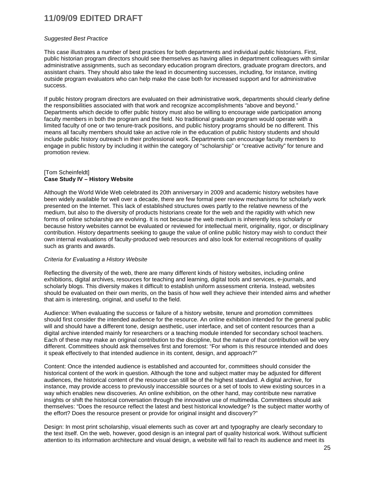#### *Suggested Best Practice*

This case illustrates a number of best practices for both departments and individual public historians. First, public historian program directors should see themselves as having allies in department colleagues with similar administrative assignments, such as secondary education program directors, graduate program directors, and assistant chairs. They should also take the lead in documenting successes, including, for instance, inviting outside program evaluators who can help make the case both for increased support and for administrative success.

If public history program directors are evaluated on their administrative work, departments should clearly define the responsibilities associated with that work and recognize accomplishments "above and beyond." Departments which decide to offer public history must also be willing to encourage wide participation among faculty members in both the program and the field. No traditional graduate program would operate with a limited faculty of one or two tenure-track positions, and public history programs should be no different. This means all faculty members should take an active role in the education of public history students and should include public history outreach in their professional work. Departments can encourage faculty members to engage in public history by including it within the category of "scholarship" or "creative activity" for tenure and promotion review.

#### [Tom Scheinfeldt] **Case Study IV – History Website**

Although the World Wide Web celebrated its 20th anniversary in 2009 and academic history websites have been widely available for well over a decade, there are few formal peer review mechanisms for scholarly work presented on the Internet. This lack of established structures owes partly to the relative newness of the medium, but also to the diversity of products historians create for the web and the rapidity with which new forms of online scholarship are evolving. It is not because the web medium is inherently less scholarly or because history websites cannot be evaluated or reviewed for intellectual merit, originality, rigor, or disciplinary contribution. History departments seeking to gauge the value of online public history may wish to conduct their own internal evaluations of faculty-produced web resources and also look for external recognitions of quality such as grants and awards.

#### *Criteria for Evaluating a History Website*

Reflecting the diversity of the web, there are many different kinds of history websites, including online exhibitions, digital archives, resources for teaching and learning, digital tools and services, e-journals, and scholarly blogs. This diversity makes it difficult to establish uniform assessment criteria. Instead, websites should be evaluated on their own merits, on the basis of how well they achieve their intended aims and whether that aim is interesting, original, and useful to the field.

Audience: When evaluating the success or failure of a history website, tenure and promotion committees should first consider the intended audience for the resource. An online exhibition intended for the general public will and should have a different tone, design aesthetic, user interface, and set of content resources than a digital archive intended mainly for researchers or a teaching module intended for secondary school teachers. Each of these may make an original contribution to the discipline, but the nature of that contribution will be very different. Committees should ask themselves first and foremost: "For whom is this resource intended and does it speak effectively to that intended audience in its content, design, and approach?"

Content: Once the intended audience is established and accounted for, committees should consider the historical content of the work in question. Although the tone and subject matter may be adjusted for different audiences, the historical content of the resource can still be of the highest standard. A digital archive, for instance, may provide access to previously inaccessible sources or a set of tools to view existing sources in a way which enables new discoveries. An online exhibition, on the other hand, may contribute new narrative insights or shift the historical conversation through the innovative use of multimedia. Committees should ask themselves: "Does the resource reflect the latest and best historical knowledge? Is the subject matter worthy of the effort? Does the resource present or provide for original insight and discovery?"

Design: In most print scholarship, visual elements such as cover art and typography are clearly secondary to the text itself. On the web, however, good design is an integral part of quality historical work. Without sufficient attention to its information architecture and visual design, a website will fail to reach its audience and meet its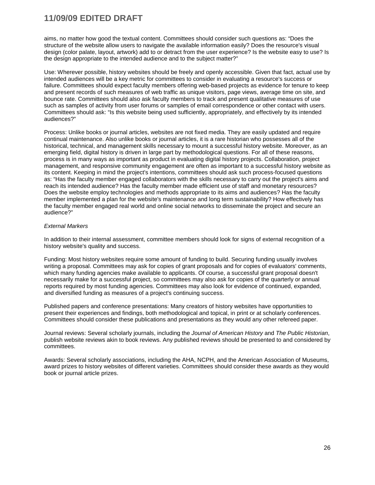aims, no matter how good the textual content. Committees should consider such questions as: "Does the structure of the website allow users to navigate the available information easily? Does the resource's visual design (color palate, layout, artwork) add to or detract from the user experience? Is the website easy to use? Is the design appropriate to the intended audience and to the subject matter?"

Use: Wherever possible, history websites should be freely and openly accessible. Given that fact, actual use by intended audiences will be a key metric for committees to consider in evaluating a resource's success or failure. Committees should expect faculty members offering web-based projects as evidence for tenure to keep and present records of such measures of web traffic as unique visitors, page views, average time on site, and bounce rate. Committees should also ask faculty members to track and present qualitative measures of use such as samples of activity from user forums or samples of email correspondence or other contact with users. Committees should ask: "Is this website being used sufficiently, appropriately, and effectively by its intended audiences?"

Process: Unlike books or journal articles, websites are not fixed media. They are easily updated and require continual maintenance. Also unlike books or journal articles, it is a rare historian who possesses all of the historical, technical, and management skills necessary to mount a successful history website. Moreover, as an emerging field, digital history is driven in large part by methodological questions. For all of these reasons, process is in many ways as important as product in evaluating digital history projects. Collaboration, project management, and responsive community engagement are often as important to a successful history website as its content. Keeping in mind the project's intentions, committees should ask such process-focused questions as: "Has the faculty member engaged collaborators with the skills necessary to carry out the project's aims and reach its intended audience? Has the faculty member made efficient use of staff and monetary resources? Does the website employ technologies and methods appropriate to its aims and audiences? Has the faculty member implemented a plan for the website's maintenance and long term sustainability? How effectively has the faculty member engaged real world and online social networks to disseminate the project and secure an audience?"

#### *External Markers*

In addition to their internal assessment, committee members should look for signs of external recognition of a history website's quality and success.

Funding: Most history websites require some amount of funding to build. Securing funding usually involves writing a proposal. Committees may ask for copies of grant proposals and for copies of evaluators' comments, which many funding agencies make available to applicants. Of course, a successful grant proposal doesn't necessarily make for a successful project, so committees may also ask for copies of the quarterly or annual reports required by most funding agencies. Committees may also look for evidence of continued, expanded, and diversified funding as measures of a project's continuing success.

Published papers and conference presentations: Many creators of history websites have opportunities to present their experiences and findings, both methodological and topical, in print or at scholarly conferences. Committees should consider these publications and presentations as they would any other refereed paper.

Journal reviews: Several scholarly journals, including the *Journal of American History* and *The Public Historian*, publish website reviews akin to book reviews. Any published reviews should be presented to and considered by committees.

Awards: Several scholarly associations, including the AHA, NCPH, and the American Association of Museums, award prizes to history websites of different varieties. Committees should consider these awards as they would book or journal article prizes.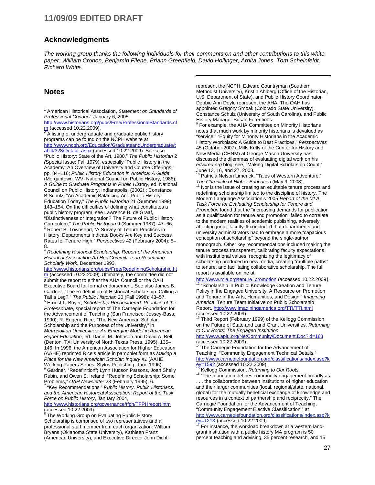#### **Acknowledgments**

*The working group thanks the following individuals for their comments on and other contributions to this white paper: William Cronon, Benjamin Filene, Briann Greenfield, David Hollinger, Arnita Jones, Tom Scheinfeldt, Richard White.* 

 $\overline{a}$ 

#### **Notes**

<span id="page-26-0"></span><sup>1</sup> American Historical Association, *Statement on Standards of Professional Conduct,* January 6, 2005.

[http://www.historians.org/pubs/Free/ProfessionalStandards.cf](http://www.historians.org/pubs/Free/ProfessionalStandards.cfm)  $\frac{m}{2}$  $\frac{m}{2}$  $\frac{m}{2}$  (accessed 10.22.2009).<br> $\frac{m}{2}$  A listing of undergraduate and graduate public history

programs can be found on the NCPH website at [http://www.ncph.org/Education/GraduateandUndergraduate/t](http://www.ncph.org/Education/GraduateandUndergraduate/tabid/323/Default.aspx) [abid/323/Default.aspx](http://www.ncph.org/Education/GraduateandUndergraduate/tabid/323/Default.aspx) (accessed 10.22.2009). See also "Public History: State of the Art, 1980," *The Public Historian* 2 *(*Special Issue: Fall 1979), especially "Public History in the Academy: An Overview of University and Course Offerings," pp. 84–116; *Public History Education in America: A Guide* (Morgantown, WV: National Council on Public History, 1986); *A Guide to Graduate Programs in Public History*, ed. National Council on Public History, Indianapolis: (2002).; Constance B.Schulz, "An Academic Balancing Act: Public History Education Today," *The Public Historian* 21 (Summer 1999): 143–154. On the difficulties of defining what constitutes a public history program, see Lawrence B. de Graaf, "Distinctiveness or Integration? The Future of Public History Curriculum," *The Public Historian* 9 (Summer 1987): 47–66. <sup>3</sup> Robert B. Townsend, "A Survey of Tenure Practices in History: Departments Indicate Books Are Key and Success Rates for Tenure High," *Perspectives* 42 (February 2004): 5–

8. <sup>4</sup> *Redefining Historical Scholarship: Report of the American Historical Association Ad Hoc Committee on Redefining Scholarly Work*, December 1993,

[http://www.historians.org/pubs/Free/RedefiningScholarship.ht](http://www.historians.org/pubs/Free/RedefiningScholarship.htm) [m](http://www.historians.org/pubs/Free/RedefiningScholarship.htm) (accessed 10.22.2009). Ultimately, the committee did not submit the report to either the AHA Council or the OAH Executive Board for formal endorsement. See also James B. Gardner, "The Redefinition of Historical Scholarship: Calling a<br>Tail a Leg?," The Public Historian 20 (Fall 1998): 43-57.  $<sup>5</sup>$  Ernest L. Boyer, *Scholarship Reconsidered: Priorities of the*</sup> *Professoriate*, special report of The Carnegie Foundation for the Advancement of Teaching (San Francisco: Jossey-Bass, 1990); R. Eugene Rice, "The New American Scholar: Scholarship and the Purposes of the University," in *Metropolitan Universities: An Emerging Model in American Higher Education*, ed. Daniel M. Johnson and David A. Bell (Denton, TX: University of North Texas Press, 1995), 135– 146. In 1996, the American Association for Higher Education (AAHE) reprinted Rice's article in pamphlet form as *Making a Place for the New American Scholar: Inquiry #1* (AAHE <sup>6</sup> Gardner, "Redefinition"; Lynn Hudson Parsons, Joan Shelly

Rubin, and Owen S. Ireland, "Redefining Scholarship: Some Problems," *OAH Newsletter* 23 (February 1995): 6. <sup>7</sup> "Key Recommendations," *Public History, Public Historians,* 

*and the American Historical Association: Report of the Task Force on Public History*, January 2004,

<http://www.historians.org/governance/tfph/TFPHreport.htm> (accessed 10.22.2009). <sup>8</sup> The Working Group on Evaluating Public History

Scholarship is comprised of two representatives and a professional staff member from each organization: William Bryans (Oklahoma State University), Kathleen Franz (American University), and Executive Director John Dichtl

represent the NCPH. Edward Countryman (Southern Methodist University), Kristin Ahlberg (Office of the Historian, U.S. Department of State), and Public History Coordinator Debbie Ann Doyle represent the AHA. The OAH has appointed Gregory Smoak (Colorado State University), Constance Schulz (University of South Carolina), and Public History Manager Susan Ferentinos.

<sup>9</sup> For example, the AHA Committee on Minority Historians notes that much work by minority historians is devalued as "service." "Equity for Minority Historians in the Academic History Workplace: A Guide to Best Practices," *Perspectives* 45 (October 2007). Mills Kelly of the Center for History and New Media (CHNM) at George Mason University has discussed the dilemmas of evaluating digital work on his *edwired.org* blog; see, "Making Digital Scholarship Count," June 13, 16, and 27, 2008.

<sup>10</sup> Patricia Nelson Limerick, "Tales of Western Adventure," *The Chronicle of Higher Education (May 9, 2008).* 11 Nor is the issue of creating an equitable tenure process and

redefining scholarship limited to the discipline of history. The Modern Language Association's 2005 *Report of the MLA Task Force for Evaluating Scholarship for Tenure and Promotion* found that the "increasing demands for publication as a qualification for tenure and promotion" failed to correlate to the modern realities of academic publishing, adversely affecting junior faculty. It concluded that departments and university administrators had to embrace a more "capacious conception of scholarship" beyond the single-author monograph. Other key recommendations included making the tenure process transparent, calibrating faculty expectations with institutional values, recognizing the legitimacy of scholarship produced in new media, creating "multiple paths" to tenure, and facilitating collaborative scholarship. The full report is available online at

[http://www.mla.org/tenure\\_promotion](http://www.mla.org/tenure_promotion) (accessed 10.22.2009).<br><sup>12</sup> "Scholarship in Public: Knowledge Creation and Tenure Policy in the Engaged University, A Resource on Promotion and Tenure in the Arts, Humanities, and Design," *Imagining America*, Tenure Team Initiative on Public Scholarship Report,<http://www.imaginingamerica.org/TTI/TTI.html>  $(\text{accessed } 10.22.2009).$ 

Third Report (February 1999) of the Kellogg Commission on the Future of State and Land Grant Universities, *Returning to Our Roots: The Engaged Institution*

<http://www.aplu.org/NetCommunity/Document.Doc?id=183><br>(accessed 10.22.2009).

The Carnegie Foundation for the Advancement of Teaching, "Community Engagement Technical Details," [http://www.carnegiefoundation.org/classifications/index.asp?k](http://www.carnegiefoundation.org/classifications/index.asp?key=1592)<br>ey=1592 (accessed 10.22.2009).

<sup>15</sup> Kellogg Commission, *Returning to Our Roots.* <sup>15</sup> "The foundation defines community engagement broadly as . . . the collaboration between institutions of higher education and their larger communities (local, regional/state, national, global) for the mutually beneficial exchange of knowledge and resources in a context of partnership and reciprocity." The Carnegie Foundation for the Advancement of Teaching, "Community Engagement Elective Classification," at [http://www.carnegiefoundation.org/classifications/index.asp?k](https://secure.colostate.edu/owa/,DanaInfo=mail.colostate.edu,SSL+redir.aspx?C=17e281d95bcb45ee9f95d0b56e4b6849&URL=http%3a%2f%2fwww.carnegiefoundation.org%2fclassifications%2findex.asp%3fkey%3d1213)

 $\frac{ev=1213}{v}$  (accessed 10.22.2009).<br>
<sup>17</sup> For instance, the workload breakdown at a western land-

grant institution with a public history MA program is 50 percent teaching and advising, 35 percent research, and 15